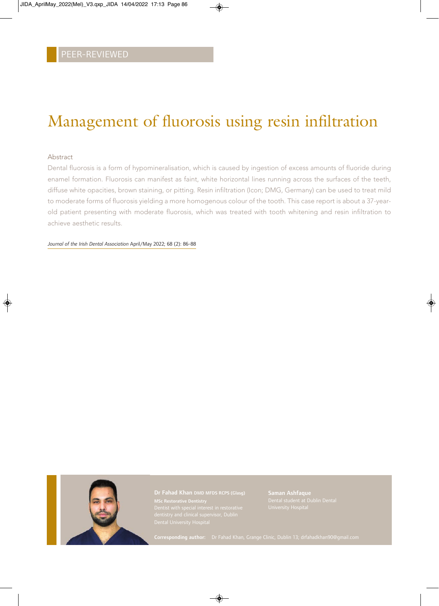## Management of fluorosis using resin infiltration

### Abstract

Dental fluorosis is a form of hypomineralisation, which is caused by ingestion of excess amounts of fluoride during enamel formation. Fluorosis can manifest as faint, white horizontal lines running across the surfaces of the teeth, diffuse white opacities, brown staining, or pitting. Resin infiltration (Icon; DMG, Germany) can be used to treat mild to moderate forms of fluorosis yielding a more homogenous colour of the tooth. This case report is about a 37-yearold patient presenting with moderate fluorosis, which was treated with tooth whitening and resin infiltration to achieve aesthetic results.

*Journal of the Irish Dental Association* April/May 2022; 68 (2): 86-88



Saman Ashfaque